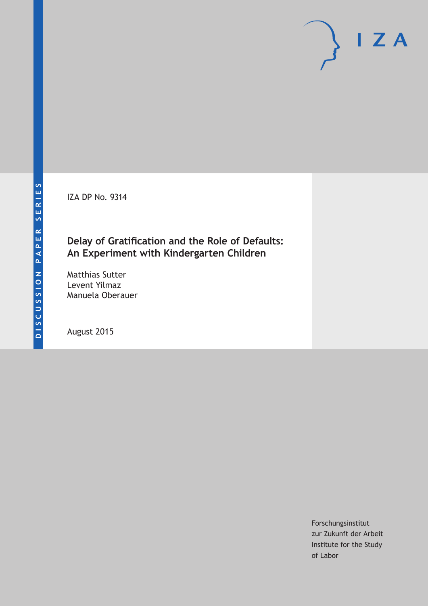IZA DP No. 9314

## **Delay of Gratification and the Role of Defaults: An Experiment with Kindergarten Children**

Matthias Sutter Levent Yilmaz Manuela Oberauer

August 2015

Forschungsinstitut zur Zukunft der Arbeit Institute for the Study of Labor

 $I Z A$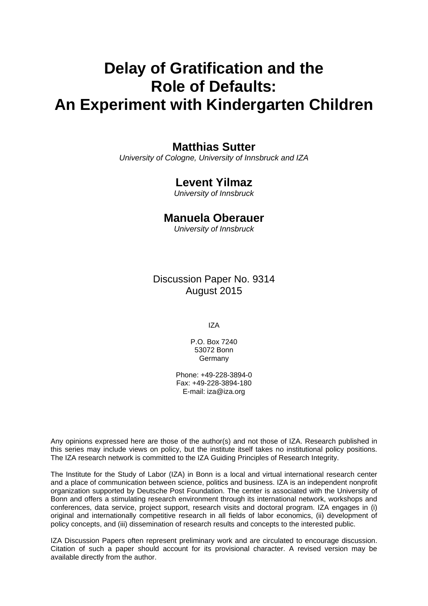# **Delay of Gratification and the Role of Defaults: An Experiment with Kindergarten Children**

### **Matthias Sutter**

*University of Cologne, University of Innsbruck and IZA* 

### **Levent Yilmaz**

*University of Innsbruck* 

### **Manuela Oberauer**

*University of Innsbruck*

Discussion Paper No. 9314 August 2015

IZA

P.O. Box 7240 53072 Bonn **Germany** 

Phone: +49-228-3894-0 Fax: +49-228-3894-180 E-mail: iza@iza.org

Any opinions expressed here are those of the author(s) and not those of IZA. Research published in this series may include views on policy, but the institute itself takes no institutional policy positions. The IZA research network is committed to the IZA Guiding Principles of Research Integrity.

The Institute for the Study of Labor (IZA) in Bonn is a local and virtual international research center and a place of communication between science, politics and business. IZA is an independent nonprofit organization supported by Deutsche Post Foundation. The center is associated with the University of Bonn and offers a stimulating research environment through its international network, workshops and conferences, data service, project support, research visits and doctoral program. IZA engages in (i) original and internationally competitive research in all fields of labor economics, (ii) development of policy concepts, and (iii) dissemination of research results and concepts to the interested public.

IZA Discussion Papers often represent preliminary work and are circulated to encourage discussion. Citation of such a paper should account for its provisional character. A revised version may be available directly from the author.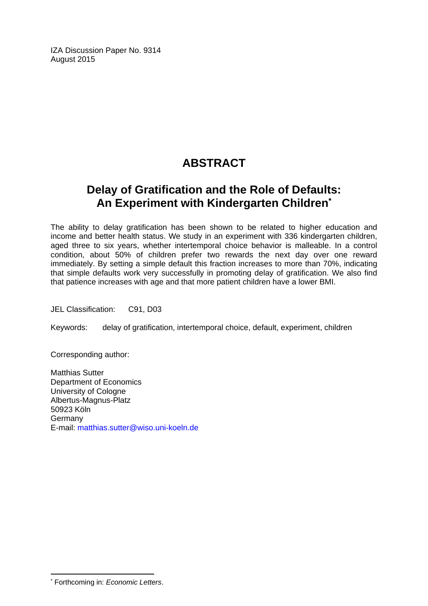IZA Discussion Paper No. 9314 August 2015

# **ABSTRACT**

# **Delay of Gratification and the Role of Defaults: An Experiment with Kindergarten Children\***

The ability to delay gratification has been shown to be related to higher education and income and better health status. We study in an experiment with 336 kindergarten children, aged three to six years, whether intertemporal choice behavior is malleable. In a control condition, about 50% of children prefer two rewards the next day over one reward immediately. By setting a simple default this fraction increases to more than 70%, indicating that simple defaults work very successfully in promoting delay of gratification. We also find that patience increases with age and that more patient children have a lower BMI.

JEL Classification: C91, D03

Keywords: delay of gratification, intertemporal choice, default, experiment, children

Corresponding author:

Matthias Sutter Department of Economics University of Cologne Albertus-Magnus-Platz 50923 Köln Germany E-mail: matthias.sutter@wiso.uni-koeln.de

 $\overline{a}$ 

<sup>\*</sup> Forthcoming in: *Economic Letters*.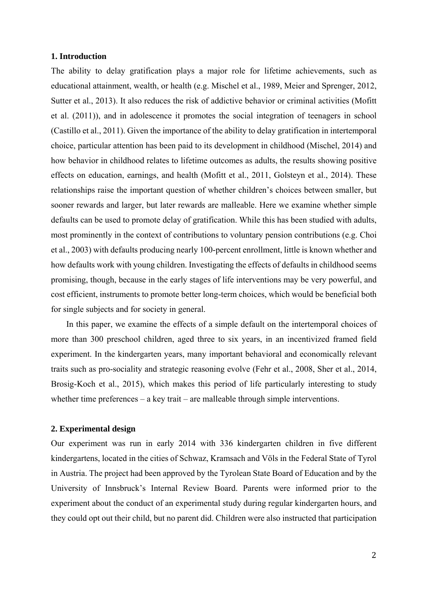#### **1. Introduction**

The ability to delay gratification plays a major role for lifetime achievements, such as educational attainment, wealth, or health (e.g. Mischel et al., 1989, Meier and Sprenger, 2012, Sutter et al., 2013). It also reduces the risk of addictive behavior or criminal activities (Mofitt et al. (2011)), and in adolescence it promotes the social integration of teenagers in school (Castillo et al., 2011). Given the importance of the ability to delay gratification in intertemporal choice, particular attention has been paid to its development in childhood (Mischel, 2014) and how behavior in childhood relates to lifetime outcomes as adults, the results showing positive effects on education, earnings, and health (Mofitt et al., 2011, Golsteyn et al., 2014). These relationships raise the important question of whether children's choices between smaller, but sooner rewards and larger, but later rewards are malleable. Here we examine whether simple defaults can be used to promote delay of gratification. While this has been studied with adults, most prominently in the context of contributions to voluntary pension contributions (e.g. Choi et al., 2003) with defaults producing nearly 100-percent enrollment, little is known whether and how defaults work with young children. Investigating the effects of defaults in childhood seems promising, though, because in the early stages of life interventions may be very powerful, and cost efficient, instruments to promote better long-term choices, which would be beneficial both for single subjects and for society in general.

In this paper, we examine the effects of a simple default on the intertemporal choices of more than 300 preschool children, aged three to six years, in an incentivized framed field experiment. In the kindergarten years, many important behavioral and economically relevant traits such as pro-sociality and strategic reasoning evolve (Fehr et al., 2008, Sher et al., 2014, Brosig-Koch et al., 2015), which makes this period of life particularly interesting to study whether time preferences – a key trait – are malleable through simple interventions.

#### **2. Experimental design**

Our experiment was run in early 2014 with 336 kindergarten children in five different kindergartens, located in the cities of Schwaz, Kramsach and Völs in the Federal State of Tyrol in Austria. The project had been approved by the Tyrolean State Board of Education and by the University of Innsbruck's Internal Review Board. Parents were informed prior to the experiment about the conduct of an experimental study during regular kindergarten hours, and they could opt out their child, but no parent did. Children were also instructed that participation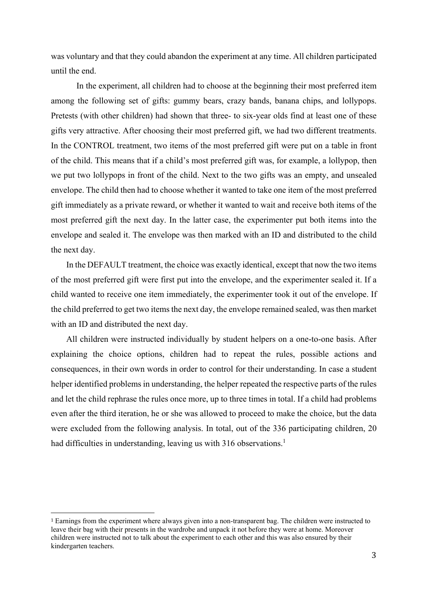was voluntary and that they could abandon the experiment at any time. All children participated until the end.

In the experiment, all children had to choose at the beginning their most preferred item among the following set of gifts: gummy bears, crazy bands, banana chips, and lollypops. Pretests (with other children) had shown that three- to six-year olds find at least one of these gifts very attractive. After choosing their most preferred gift, we had two different treatments. In the CONTROL treatment, two items of the most preferred gift were put on a table in front of the child. This means that if a child's most preferred gift was, for example, a lollypop, then we put two lollypops in front of the child. Next to the two gifts was an empty, and unsealed envelope. The child then had to choose whether it wanted to take one item of the most preferred gift immediately as a private reward, or whether it wanted to wait and receive both items of the most preferred gift the next day. In the latter case, the experimenter put both items into the envelope and sealed it. The envelope was then marked with an ID and distributed to the child the next day.

In the DEFAULT treatment, the choice was exactly identical, except that now the two items of the most preferred gift were first put into the envelope, and the experimenter sealed it. If a child wanted to receive one item immediately, the experimenter took it out of the envelope. If the child preferred to get two items the next day, the envelope remained sealed, was then market with an ID and distributed the next day.

All children were instructed individually by student helpers on a one-to-one basis. After explaining the choice options, children had to repeat the rules, possible actions and consequences, in their own words in order to control for their understanding. In case a student helper identified problems in understanding, the helper repeated the respective parts of the rules and let the child rephrase the rules once more, up to three times in total. If a child had problems even after the third iteration, he or she was allowed to proceed to make the choice, but the data were excluded from the following analysis. In total, out of the 336 participating children, 20 had difficulties in understanding, leaving us with 316 observations.<sup>1</sup>

 

<sup>1</sup> Earnings from the experiment where always given into a non-transparent bag. The children were instructed to leave their bag with their presents in the wardrobe and unpack it not before they were at home. Moreover children were instructed not to talk about the experiment to each other and this was also ensured by their kindergarten teachers.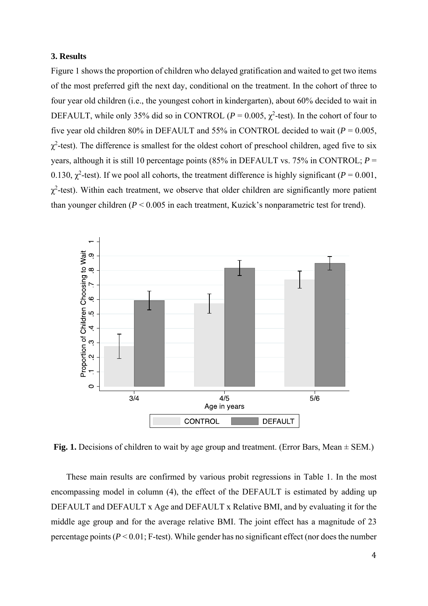#### **3. Results**

Figure 1 shows the proportion of children who delayed gratification and waited to get two items of the most preferred gift the next day, conditional on the treatment. In the cohort of three to four year old children (i.e., the youngest cohort in kindergarten), about 60% decided to wait in DEFAULT, while only 35% did so in CONTROL ( $P = 0.005$ ,  $\chi^2$ -test). In the cohort of four to five year old children 80% in DEFAULT and 55% in CONTROL decided to wait ( $P = 0.005$ ,  $\chi^2$ -test). The difference is smallest for the oldest cohort of preschool children, aged five to six years, although it is still 10 percentage points (85% in DEFAULT vs. 75% in CONTROL; *P* = 0.130,  $\chi^2$ -test). If we pool all cohorts, the treatment difference is highly significant ( $P = 0.001$ ,  $\chi^2$ -test). Within each treatment, we observe that older children are significantly more patient than younger children (*P* < 0.005 in each treatment, Kuzick's nonparametric test for trend).



Fig. 1. Decisions of children to wait by age group and treatment. (Error Bars, Mean  $\pm$  SEM.)

These main results are confirmed by various probit regressions in Table 1. In the most encompassing model in column (4), the effect of the DEFAULT is estimated by adding up DEFAULT and DEFAULT x Age and DEFAULT x Relative BMI, and by evaluating it for the middle age group and for the average relative BMI. The joint effect has a magnitude of 23 percentage points  $(P < 0.01$ ; F-test). While gender has no significant effect (nor does the number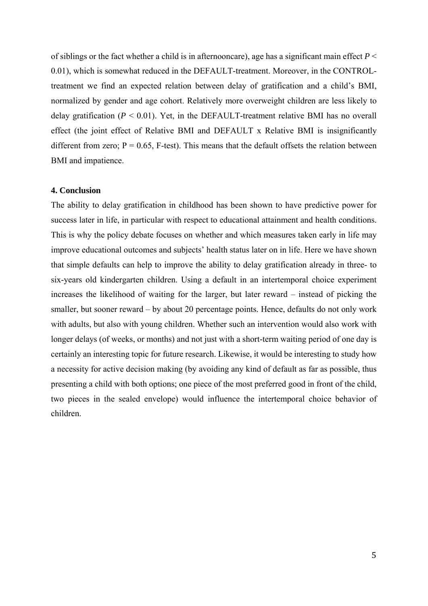of siblings or the fact whether a child is in afternooncare), age has a significant main effect  $P \leq$ 0.01), which is somewhat reduced in the DEFAULT-treatment. Moreover, in the CONTROLtreatment we find an expected relation between delay of gratification and a child's BMI, normalized by gender and age cohort. Relatively more overweight children are less likely to delay gratification  $(P < 0.01)$ . Yet, in the DEFAULT-treatment relative BMI has no overall effect (the joint effect of Relative BMI and DEFAULT x Relative BMI is insignificantly different from zero;  $P = 0.65$ , F-test). This means that the default offsets the relation between BMI and impatience.

#### **4. Conclusion**

The ability to delay gratification in childhood has been shown to have predictive power for success later in life, in particular with respect to educational attainment and health conditions. This is why the policy debate focuses on whether and which measures taken early in life may improve educational outcomes and subjects' health status later on in life. Here we have shown that simple defaults can help to improve the ability to delay gratification already in three- to six-years old kindergarten children. Using a default in an intertemporal choice experiment increases the likelihood of waiting for the larger, but later reward – instead of picking the smaller, but sooner reward – by about 20 percentage points. Hence, defaults do not only work with adults, but also with young children. Whether such an intervention would also work with longer delays (of weeks, or months) and not just with a short-term waiting period of one day is certainly an interesting topic for future research. Likewise, it would be interesting to study how a necessity for active decision making (by avoiding any kind of default as far as possible, thus presenting a child with both options; one piece of the most preferred good in front of the child, two pieces in the sealed envelope) would influence the intertemporal choice behavior of children.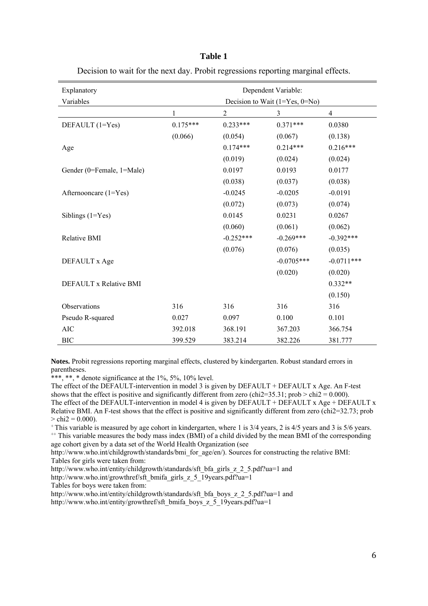#### **Table 1**

Decision to wait for the next day. Probit regressions reporting marginal effects.

| Explanatory               | Dependent Variable:              |                |              |                |
|---------------------------|----------------------------------|----------------|--------------|----------------|
| Variables                 | Decision to Wait $(1=Yes, 0=No)$ |                |              |                |
|                           | 1                                | $\overline{c}$ | 3            | $\overline{4}$ |
| DEFAULT (1=Yes)           | $0.175***$                       | $0.233***$     | $0.371***$   | 0.0380         |
|                           | (0.066)                          | (0.054)        | (0.067)      | (0.138)        |
| Age                       |                                  | $0.174***$     | $0.214***$   | $0.216***$     |
|                           |                                  | (0.019)        | (0.024)      | (0.024)        |
| Gender (0=Female, 1=Male) |                                  | 0.0197         | 0.0193       | 0.0177         |
|                           |                                  | (0.038)        | (0.037)      | (0.038)        |
| Afternooncare $(1 = Yes)$ |                                  | $-0.0245$      | $-0.0205$    | $-0.0191$      |
|                           |                                  | (0.072)        | (0.073)      | (0.074)        |
| Siblings $(1=Yes)$        |                                  | 0.0145         | 0.0231       | 0.0267         |
|                           |                                  | (0.060)        | (0.061)      | (0.062)        |
| Relative BMI              |                                  | $-0.252***$    | $-0.269***$  | $-0.392***$    |
|                           |                                  | (0.076)        | (0.076)      | (0.035)        |
| DEFAULT x Age             |                                  |                | $-0.0705***$ | $-0.0711***$   |
|                           |                                  |                | (0.020)      | (0.020)        |
| DEFAULT x Relative BMI    |                                  |                |              | $0.332**$      |
|                           |                                  |                |              | (0.150)        |
| Observations              | 316                              | 316            | 316          | 316            |
| Pseudo R-squared          | 0.027                            | 0.097          | 0.100        | 0.101          |
| <b>AIC</b>                | 392.018                          | 368.191        | 367.203      | 366.754        |
| <b>BIC</b>                | 399.529                          | 383.214        | 382.226      | 381.777        |

**Notes.** Probit regressions reporting marginal effects, clustered by kindergarten. Robust standard errors in parentheses.

\*\*\*, \*\*, \* denote significance at the  $1\%$ ,  $5\%$ ,  $10\%$  level.

The effect of the DEFAULT-intervention in model 3 is given by DEFAULT + DEFAULT x Age. An F-test shows that the effect is positive and significantly different from zero (chi2=35.31; prob > chi2 = 0.000). The effect of the DEFAULT-intervention in model 4 is given by DEFAULT + DEFAULT  $x$  Age + DEFAULT  $x$ Relative BMI. An F-test shows that the effect is positive and significantly different from zero (chi2=32.73; prob  $>$  chi2 = 0.000).

+ This variable is measured by age cohort in kindergarten, where 1 is 3/4 years, 2 is 4/5 years and 3 is 5/6 years. <sup>++</sup> This variable measures the body mass index (BMI) of a child divided by the mean BMI of the corresponding age cohort given by a data set of the World Health Organization (see

http://www.who.int/childgrowth/standards/bmi\_for\_age/en/). Sources for constructing the relative BMI: Tables for girls were taken from:

http://www.who.int/entity/childgrowth/standards/sft\_bfa\_girls\_z\_2\_5.pdf?ua=1 and

http://www.who.int/growthref/sft\_bmifa\_girls\_z\_5\_19years.pdf?ua=1

Tables for boys were taken from:

http://www.who.int/entity/childgrowth/standards/sft\_bfa\_boys\_z\_2\_5.pdf?ua=1 and http://www.who.int/entity/growthref/sft\_bmifa\_boys\_z\_5\_19years.pdf?ua=1\_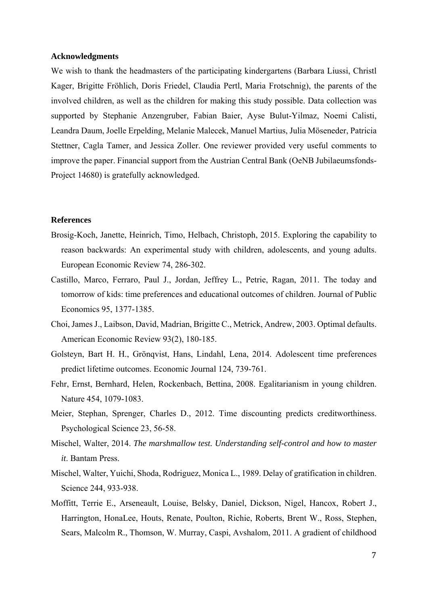#### **Acknowledgments**

We wish to thank the headmasters of the participating kindergartens (Barbara Liussi, Christl Kager, Brigitte Fröhlich, Doris Friedel, Claudia Pertl, Maria Frotschnig), the parents of the involved children, as well as the children for making this study possible. Data collection was supported by Stephanie Anzengruber, Fabian Baier, Ayse Bulut-Yilmaz, Noemi Calisti, Leandra Daum, Joelle Erpelding, Melanie Malecek, Manuel Martius, Julia Möseneder, Patricia Stettner, Cagla Tamer, and Jessica Zoller. One reviewer provided very useful comments to improve the paper. Financial support from the Austrian Central Bank (OeNB Jubilaeumsfonds-Project 14680) is gratefully acknowledged.

#### **References**

- Brosig-Koch, Janette, Heinrich, Timo, Helbach, Christoph, 2015. Exploring the capability to reason backwards: An experimental study with children, adolescents, and young adults. European Economic Review 74, 286-302.
- Castillo, Marco, Ferraro, Paul J., Jordan, Jeffrey L., Petrie, Ragan, 2011. The today and tomorrow of kids: time preferences and educational outcomes of children. Journal of Public Economics 95, 1377-1385.
- Choi, James J., Laibson, David, Madrian, Brigitte C., Metrick, Andrew, 2003. Optimal defaults. American Economic Review 93(2), 180-185.
- Golsteyn, Bart H. H., Grönqvist, Hans, Lindahl, Lena, 2014. Adolescent time preferences predict lifetime outcomes. Economic Journal 124, 739-761.
- Fehr, Ernst, Bernhard, Helen, Rockenbach, Bettina, 2008. Egalitarianism in young children. Nature 454, 1079-1083.
- Meier, Stephan, Sprenger, Charles D., 2012. Time discounting predicts creditworthiness. Psychological Science 23, 56-58.
- Mischel, Walter, 2014. *The marshmallow test. Understanding self-control and how to master it*. Bantam Press.
- Mischel, Walter, Yuichi, Shoda, Rodriguez, Monica L., 1989. Delay of gratification in children. Science 244, 933-938.
- Moffitt, Terrie E., Arseneault, Louise, Belsky, Daniel, Dickson, Nigel, Hancox, Robert J., Harrington, HonaLee, Houts, Renate, Poulton, Richie, Roberts, Brent W., Ross, Stephen, Sears, Malcolm R., Thomson, W. Murray, Caspi, Avshalom, 2011. A gradient of childhood